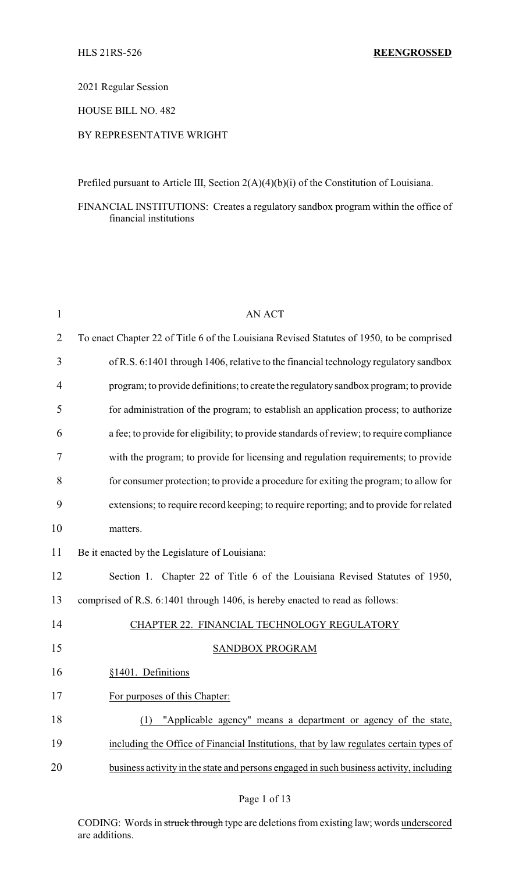2021 Regular Session

HOUSE BILL NO. 482

### BY REPRESENTATIVE WRIGHT

Prefiled pursuant to Article III, Section 2(A)(4)(b)(i) of the Constitution of Louisiana.

FINANCIAL INSTITUTIONS: Creates a regulatory sandbox program within the office of financial institutions

| $\mathbf{1}$ | <b>AN ACT</b>                                                                             |
|--------------|-------------------------------------------------------------------------------------------|
| 2            | To enact Chapter 22 of Title 6 of the Louisiana Revised Statutes of 1950, to be comprised |
| 3            | of R.S. 6:1401 through 1406, relative to the financial technology regulatory sandbox      |
| 4            | program; to provide definitions; to create the regulatory sandbox program; to provide     |
| 5            | for administration of the program; to establish an application process; to authorize      |
| 6            | a fee; to provide for eligibility; to provide standards of review; to require compliance  |
| 7            | with the program; to provide for licensing and regulation requirements; to provide        |
| 8            | for consumer protection; to provide a procedure for exiting the program; to allow for     |
| 9            | extensions; to require record keeping; to require reporting; and to provide for related   |
| 10           | matters.                                                                                  |
| 11           | Be it enacted by the Legislature of Louisiana:                                            |
| 12           | Section 1. Chapter 22 of Title 6 of the Louisiana Revised Statutes of 1950,               |
| 13           | comprised of R.S. 6:1401 through 1406, is hereby enacted to read as follows:              |
| 14           | CHAPTER 22. FINANCIAL TECHNOLOGY REGULATORY                                               |
| 15           | SANDBOX PROGRAM                                                                           |
| 16           | §1401. Definitions                                                                        |
| 17           | For purposes of this Chapter:                                                             |
| 18           | "Applicable agency" means a department or agency of the state,<br>(1)                     |
| 19           | including the Office of Financial Institutions, that by law regulates certain types of    |
| 20           | business activity in the state and persons engaged in such business activity, including   |
|              |                                                                                           |

CODING: Words in struck through type are deletions from existing law; words underscored are additions.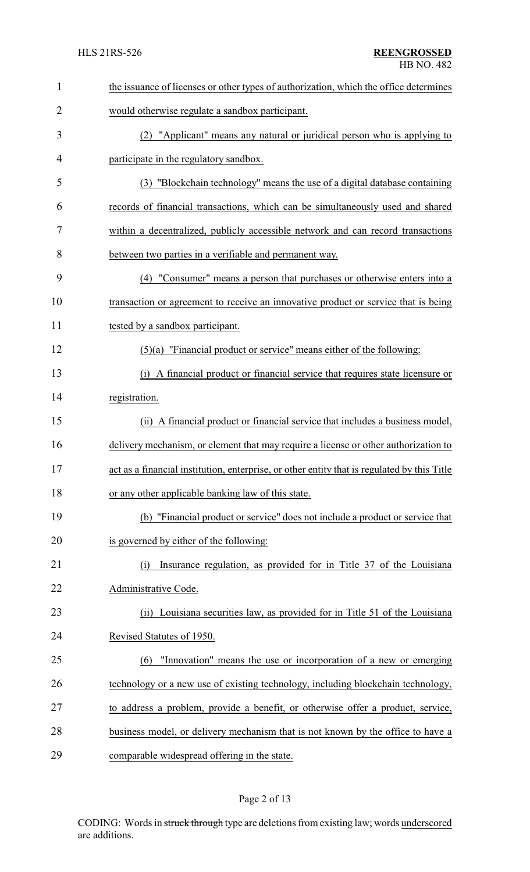| 1  | the issuance of licenses or other types of authorization, which the office determines       |  |  |
|----|---------------------------------------------------------------------------------------------|--|--|
| 2  | would otherwise regulate a sandbox participant.                                             |  |  |
| 3  | (2) "Applicant" means any natural or juridical person who is applying to                    |  |  |
| 4  | participate in the regulatory sandbox.                                                      |  |  |
| 5  | (3) "Blockchain technology" means the use of a digital database containing                  |  |  |
| 6  | records of financial transactions, which can be simultaneously used and shared              |  |  |
| 7  | within a decentralized, publicly accessible network and can record transactions             |  |  |
| 8  | between two parties in a verifiable and permanent way.                                      |  |  |
| 9  | (4) "Consumer" means a person that purchases or otherwise enters into a                     |  |  |
| 10 | transaction or agreement to receive an innovative product or service that is being          |  |  |
| 11 | tested by a sandbox participant.                                                            |  |  |
| 12 | $(5)(a)$ "Financial product or service" means either of the following:                      |  |  |
| 13 | A financial product or financial service that requires state licensure or<br>(i)            |  |  |
| 14 | registration.                                                                               |  |  |
| 15 | (ii) A financial product or financial service that includes a business model,               |  |  |
| 16 | delivery mechanism, or element that may require a license or other authorization to         |  |  |
| 17 | act as a financial institution, enterprise, or other entity that is regulated by this Title |  |  |
| 18 | or any other applicable banking law of this state.                                          |  |  |
| 19 | (b) "Financial product or service" does not include a product or service that               |  |  |
| 20 | is governed by either of the following:                                                     |  |  |
| 21 | Insurance regulation, as provided for in Title 37 of the Louisiana<br>(i)                   |  |  |
| 22 | Administrative Code.                                                                        |  |  |
| 23 | (ii) Louisiana securities law, as provided for in Title 51 of the Louisiana                 |  |  |
| 24 | Revised Statutes of 1950.                                                                   |  |  |
| 25 | "Innovation" means the use or incorporation of a new or emerging<br>(6)                     |  |  |
| 26 | technology or a new use of existing technology, including blockchain technology,            |  |  |
| 27 | to address a problem, provide a benefit, or otherwise offer a product, service,             |  |  |
| 28 | business model, or delivery mechanism that is not known by the office to have a             |  |  |
| 29 | comparable widespread offering in the state.                                                |  |  |

# Page 2 of 13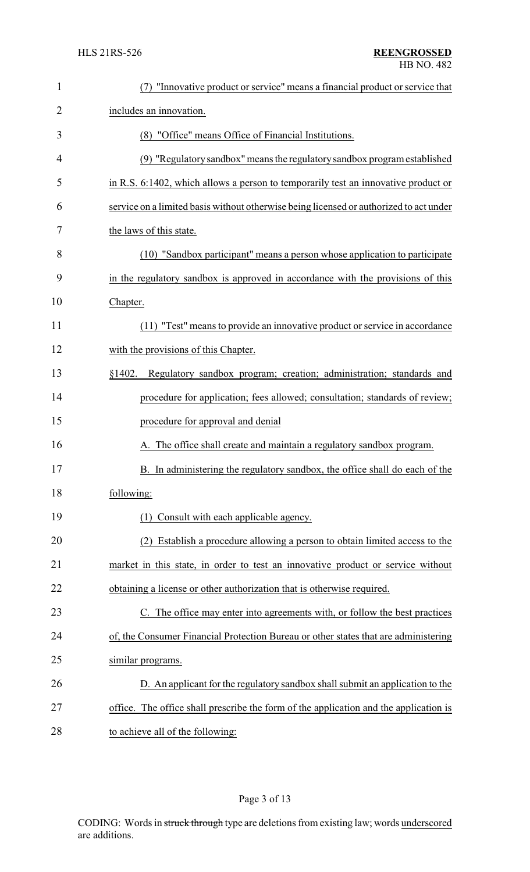| $\mathbf{1}$ | "Innovative product or service" means a financial product or service that              |
|--------------|----------------------------------------------------------------------------------------|
| 2            | includes an innovation.                                                                |
| 3            | (8) "Office" means Office of Financial Institutions.                                   |
| 4            | (9) "Regulatory sandbox" means the regulatory sandbox program established              |
| 5            | in R.S. 6:1402, which allows a person to temporarily test an innovative product or     |
| 6            | service on a limited basis without otherwise being licensed or authorized to act under |
| 7            | the laws of this state.                                                                |
| 8            | (10) "Sandbox participant" means a person whose application to participate             |
| 9            | in the regulatory sandbox is approved in accordance with the provisions of this        |
| 10           | Chapter.                                                                               |
| 11           | (11) "Test" means to provide an innovative product or service in accordance            |
| 12           | with the provisions of this Chapter.                                                   |
| 13           | Regulatory sandbox program; creation; administration; standards and<br>§1402.          |
| 14           | procedure for application; fees allowed; consultation; standards of review;            |
| 15           | procedure for approval and denial                                                      |
| 16           | A. The office shall create and maintain a regulatory sandbox program.                  |
| 17           | B. In administering the regulatory sandbox, the office shall do each of the            |
| 18           | following:                                                                             |
| 19           | Consult with each applicable agency.<br>(1)                                            |
| 20           | Establish a procedure allowing a person to obtain limited access to the<br>(2)         |
| 21           | market in this state, in order to test an innovative product or service without        |
| 22           | obtaining a license or other authorization that is otherwise required.                 |
| 23           | C. The office may enter into agreements with, or follow the best practices             |
| 24           | of, the Consumer Financial Protection Bureau or other states that are administering    |
| 25           | similar programs.                                                                      |
| 26           | D. An applicant for the regulatory sandbox shall submit an application to the          |
| 27           | office. The office shall prescribe the form of the application and the application is  |
| 28           | to achieve all of the following:                                                       |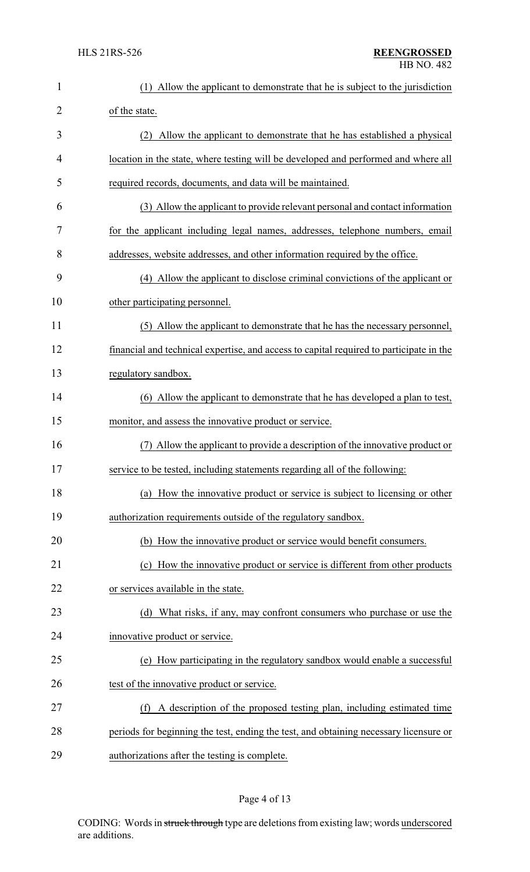| $\mathbf{1}$ | (1) Allow the applicant to demonstrate that he is subject to the jurisdiction           |  |
|--------------|-----------------------------------------------------------------------------------------|--|
| 2            | of the state.                                                                           |  |
| 3            | (2) Allow the applicant to demonstrate that he has established a physical               |  |
| 4            | location in the state, where testing will be developed and performed and where all      |  |
| 5            | required records, documents, and data will be maintained.                               |  |
| 6            | (3) Allow the applicant to provide relevant personal and contact information            |  |
| 7            | for the applicant including legal names, addresses, telephone numbers, email            |  |
| 8            | addresses, website addresses, and other information required by the office.             |  |
| 9            | (4) Allow the applicant to disclose criminal convictions of the applicant or            |  |
| 10           | other participating personnel.                                                          |  |
| 11           | (5) Allow the applicant to demonstrate that he has the necessary personnel,             |  |
| 12           | financial and technical expertise, and access to capital required to participate in the |  |
| 13           | regulatory sandbox.                                                                     |  |
| 14           | (6) Allow the applicant to demonstrate that he has developed a plan to test,            |  |
| 15           | monitor, and assess the innovative product or service.                                  |  |
| 16           | Allow the applicant to provide a description of the innovative product or<br>(7)        |  |
| 17           | service to be tested, including statements regarding all of the following:              |  |
| 18           | (a) How the innovative product or service is subject to licensing or other              |  |
| 19           | authorization requirements outside of the regulatory sandbox.                           |  |
| 20           | (b) How the innovative product or service would benefit consumers.                      |  |
| 21           | (c) How the innovative product or service is different from other products              |  |
| 22           | or services available in the state.                                                     |  |
| 23           | (d) What risks, if any, may confront consumers who purchase or use the                  |  |
| 24           | innovative product or service.                                                          |  |
| 25           | (e) How participating in the regulatory sandbox would enable a successful               |  |
| 26           | test of the innovative product or service.                                              |  |
| 27           | A description of the proposed testing plan, including estimated time<br>(f)             |  |
| 28           | periods for beginning the test, ending the test, and obtaining necessary licensure or   |  |
| 29           | authorizations after the testing is complete.                                           |  |

# Page 4 of 13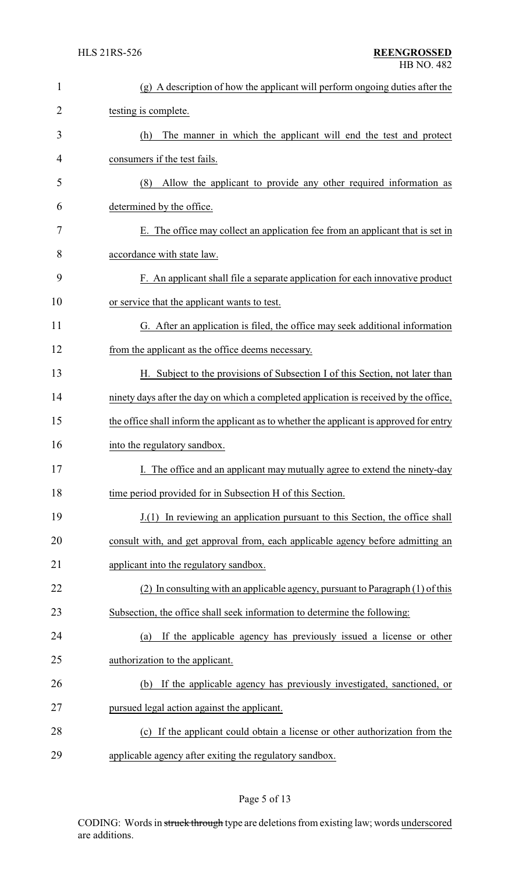| $\mathbf{1}$ | (g) A description of how the applicant will perform ongoing duties after the            |  |  |
|--------------|-----------------------------------------------------------------------------------------|--|--|
| 2            | testing is complete.                                                                    |  |  |
| 3            | The manner in which the applicant will end the test and protect<br>(h)                  |  |  |
| 4            | consumers if the test fails.                                                            |  |  |
| 5            | Allow the applicant to provide any other required information as<br>(8)                 |  |  |
| 6            | determined by the office.                                                               |  |  |
| 7            | E. The office may collect an application fee from an applicant that is set in           |  |  |
| 8            | accordance with state law.                                                              |  |  |
| 9            | F. An applicant shall file a separate application for each innovative product           |  |  |
| 10           | or service that the applicant wants to test.                                            |  |  |
| 11           | G. After an application is filed, the office may seek additional information            |  |  |
| 12           | from the applicant as the office deems necessary.                                       |  |  |
| 13           | H. Subject to the provisions of Subsection I of this Section, not later than            |  |  |
| 14           | ninety days after the day on which a completed application is received by the office,   |  |  |
| 15           | the office shall inform the applicant as to whether the applicant is approved for entry |  |  |
| 16           | into the regulatory sandbox.                                                            |  |  |
| 17           | I. The office and an applicant may mutually agree to extend the ninety-day              |  |  |
| 18           | time period provided for in Subsection H of this Section.                               |  |  |
| 19           | J.(1) In reviewing an application pursuant to this Section, the office shall            |  |  |
| 20           | consult with, and get approval from, each applicable agency before admitting an         |  |  |
| 21           | applicant into the regulatory sandbox.                                                  |  |  |
| 22           | (2) In consulting with an applicable agency, pursuant to Paragraph (1) of this          |  |  |
| 23           | Subsection, the office shall seek information to determine the following:               |  |  |
| 24           | If the applicable agency has previously issued a license or other<br>(a)                |  |  |
| 25           | authorization to the applicant.                                                         |  |  |
| 26           | If the applicable agency has previously investigated, sanctioned, or<br>(b)             |  |  |
| 27           | pursued legal action against the applicant.                                             |  |  |
| 28           | (c) If the applicant could obtain a license or other authorization from the             |  |  |
| 29           | applicable agency after exiting the regulatory sandbox.                                 |  |  |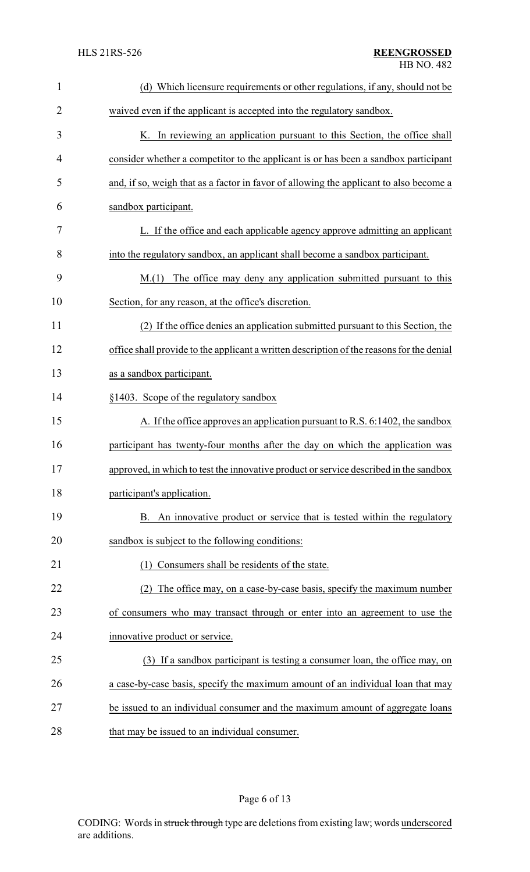| $\mathbf{1}$   | (d) Which licensure requirements or other regulations, if any, should not be              |  |
|----------------|-------------------------------------------------------------------------------------------|--|
| $\overline{2}$ | waived even if the applicant is accepted into the regulatory sandbox.                     |  |
| 3              | K. In reviewing an application pursuant to this Section, the office shall                 |  |
| $\overline{4}$ | consider whether a competitor to the applicant is or has been a sandbox participant       |  |
| 5              | and, if so, weigh that as a factor in favor of allowing the applicant to also become a    |  |
| 6              | sandbox participant.                                                                      |  |
| 7              | L. If the office and each applicable agency approve admitting an applicant                |  |
| 8              | into the regulatory sandbox, an applicant shall become a sandbox participant.             |  |
| 9              | The office may deny any application submitted pursuant to this<br>M(1)                    |  |
| 10             | Section, for any reason, at the office's discretion.                                      |  |
| 11             | (2) If the office denies an application submitted pursuant to this Section, the           |  |
| 12             | office shall provide to the applicant a written description of the reasons for the denial |  |
| 13             | as a sandbox participant.                                                                 |  |
| 14             | §1403. Scope of the regulatory sandbox                                                    |  |
| 15             | A. If the office approves an application pursuant to R.S. 6:1402, the sandbox             |  |
| 16             | participant has twenty-four months after the day on which the application was             |  |
| 17             | approved, in which to test the innovative product or service described in the sandbox     |  |
| 18             | participant's application.                                                                |  |
| 19             | B. An innovative product or service that is tested within the regulatory                  |  |
| 20             | sandbox is subject to the following conditions:                                           |  |
| 21             | Consumers shall be residents of the state.<br>(1)                                         |  |
| 22             | (2) The office may, on a case-by-case basis, specify the maximum number                   |  |
| 23             | of consumers who may transact through or enter into an agreement to use the               |  |
| 24             | innovative product or service.                                                            |  |
| 25             | (3) If a sandbox participant is testing a consumer loan, the office may, on               |  |
| 26             | a case-by-case basis, specify the maximum amount of an individual loan that may           |  |
| 27             | be issued to an individual consumer and the maximum amount of aggregate loans             |  |
| 28             | that may be issued to an individual consumer.                                             |  |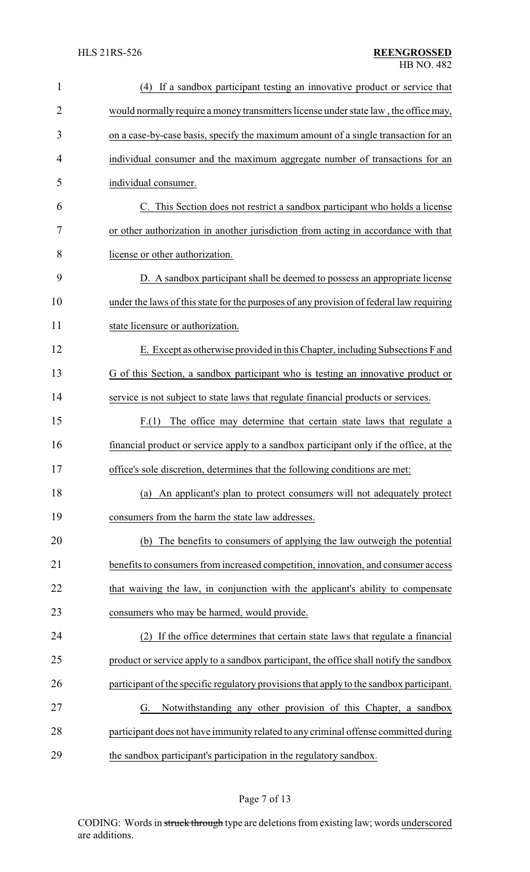| $\mathbf{1}$ | If a sandbox participant testing an innovative product or service that<br>(4)            |  |
|--------------|------------------------------------------------------------------------------------------|--|
| 2            | would normally require a money transmitters license under state law, the office may,     |  |
| 3            | on a case-by-case basis, specify the maximum amount of a single transaction for an       |  |
| 4            | individual consumer and the maximum aggregate number of transactions for an              |  |
| 5            | individual consumer.                                                                     |  |
| 6            | C. This Section does not restrict a sandbox participant who holds a license              |  |
| 7            | or other authorization in another jurisdiction from acting in accordance with that       |  |
| 8            | license or other authorization.                                                          |  |
| 9            | D. A sandbox participant shall be deemed to possess an appropriate license               |  |
| 10           | under the laws of this state for the purposes of any provision of federal law requiring  |  |
| 11           | state licensure or authorization.                                                        |  |
| 12           | E. Except as otherwise provided in this Chapter, including Subsections F and             |  |
| 13           | G of this Section, a sandbox participant who is testing an innovative product or         |  |
| 14           | service is not subject to state laws that regulate financial products or services.       |  |
| 15           | The office may determine that certain state laws that regulate a<br>F(1)                 |  |
| 16           | financial product or service apply to a sandbox participant only if the office, at the   |  |
| 17           | office's sole discretion, determines that the following conditions are met:              |  |
| 18           | An applicant's plan to protect consumers will not adequately protect<br>(a)              |  |
| 19           | consumers from the harm the state law addresses.                                         |  |
| 20           | (b) The benefits to consumers of applying the law outweigh the potential                 |  |
| 21           | benefits to consumers from increased competition, innovation, and consumer access        |  |
| 22           | that waiving the law, in conjunction with the applicant's ability to compensate          |  |
| 23           | consumers who may be harmed, would provide.                                              |  |
| 24           | If the office determines that certain state laws that regulate a financial               |  |
| 25           | product or service apply to a sandbox participant, the office shall notify the sandbox   |  |
| 26           | participant of the specific regulatory provisions that apply to the sandbox participant. |  |
| 27           | Notwithstanding any other provision of this Chapter, a sandbox<br>G.                     |  |
| 28           | participant does not have immunity related to any criminal offense committed during      |  |
| 29           | the sandbox participant's participation in the regulatory sandbox.                       |  |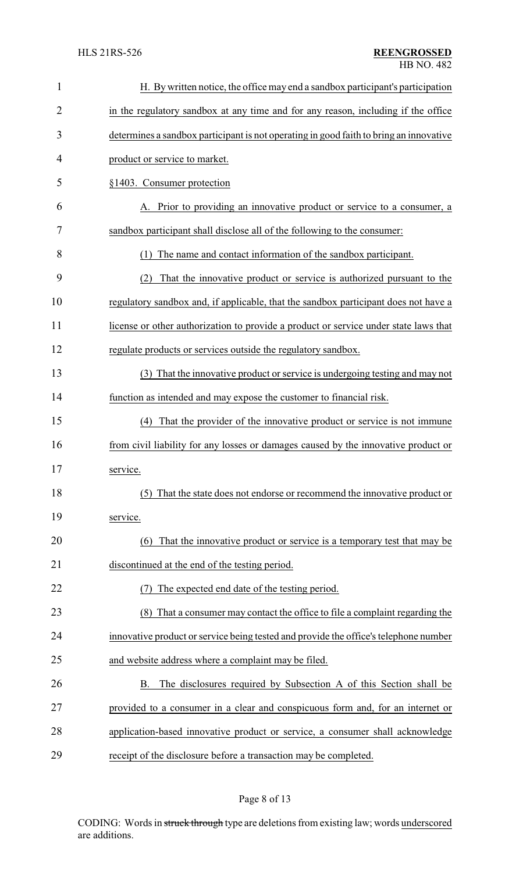| $\mathbf{1}$   | H. By written notice, the office may end a sandbox participant's participation         |  |  |
|----------------|----------------------------------------------------------------------------------------|--|--|
| $\overline{2}$ | in the regulatory sandbox at any time and for any reason, including if the office      |  |  |
| 3              | determines a sandbox participant is not operating in good faith to bring an innovative |  |  |
| 4              | product or service to market.                                                          |  |  |
| 5              | §1403. Consumer protection                                                             |  |  |
| 6              | A. Prior to providing an innovative product or service to a consumer, a                |  |  |
| 7              | sandbox participant shall disclose all of the following to the consumer:               |  |  |
| 8              | The name and contact information of the sandbox participant.<br>(1)                    |  |  |
| 9              | That the innovative product or service is authorized pursuant to the<br>(2)            |  |  |
| 10             | regulatory sandbox and, if applicable, that the sandbox participant does not have a    |  |  |
| 11             | license or other authorization to provide a product or service under state laws that   |  |  |
| 12             | regulate products or services outside the regulatory sandbox.                          |  |  |
| 13             | (3) That the innovative product or service is undergoing testing and may not           |  |  |
| 14             | function as intended and may expose the customer to financial risk.                    |  |  |
| 15             | That the provider of the innovative product or service is not immune<br>(4)            |  |  |
| 16             | from civil liability for any losses or damages caused by the innovative product or     |  |  |
| 17             | service.                                                                               |  |  |
| 18             | That the state does not endorse or recommend the innovative product or<br>(5)          |  |  |
| 19             | service.                                                                               |  |  |
| 20             | That the innovative product or service is a temporary test that may be<br>(6)          |  |  |
| 21             | discontinued at the end of the testing period.                                         |  |  |
| 22             | The expected end date of the testing period.                                           |  |  |
| 23             | (8) That a consumer may contact the office to file a complaint regarding the           |  |  |
| 24             | innovative product or service being tested and provide the office's telephone number   |  |  |
| 25             | and website address where a complaint may be filed.                                    |  |  |
| 26             | The disclosures required by Subsection A of this Section shall be<br>В.                |  |  |
| 27             | provided to a consumer in a clear and conspicuous form and, for an internet or         |  |  |
| 28             | application-based innovative product or service, a consumer shall acknowledge          |  |  |
| 29             | receipt of the disclosure before a transaction may be completed.                       |  |  |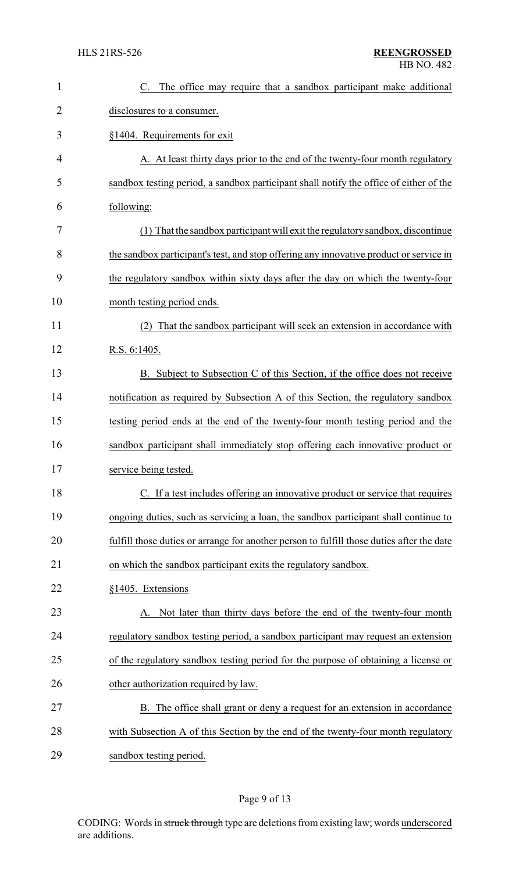| $\mathbf{1}$   | C. The office may require that a sandbox participant make additional                      |  |
|----------------|-------------------------------------------------------------------------------------------|--|
| $\overline{2}$ | disclosures to a consumer.                                                                |  |
| 3              | §1404. Requirements for exit                                                              |  |
| 4              | A. At least thirty days prior to the end of the twenty-four month regulatory              |  |
| 5              | sandbox testing period, a sandbox participant shall notify the office of either of the    |  |
| 6              | following:                                                                                |  |
| 7              | (1) That the sandbox participant will exit the regulatory sandbox, discontinue            |  |
| 8              | the sandbox participant's test, and stop offering any innovative product or service in    |  |
| 9              | the regulatory sandbox within sixty days after the day on which the twenty-four           |  |
| 10             | month testing period ends.                                                                |  |
| 11             | That the sandbox participant will seek an extension in accordance with                    |  |
| 12             | R.S. 6:1405.                                                                              |  |
| 13             | B. Subject to Subsection C of this Section, if the office does not receive                |  |
| 14             | notification as required by Subsection A of this Section, the regulatory sandbox          |  |
| 15             | testing period ends at the end of the twenty-four month testing period and the            |  |
| 16             | sandbox participant shall immediately stop offering each innovative product or            |  |
| 17             | service being tested.                                                                     |  |
| 18             | C. If a test includes offering an innovative product or service that requires             |  |
| 19             | ongoing duties, such as servicing a loan, the sandbox participant shall continue to       |  |
| 20             | fulfill those duties or arrange for another person to fulfill those duties after the date |  |
| 21             | on which the sandbox participant exits the regulatory sandbox.                            |  |
| 22             | §1405. Extensions                                                                         |  |
| 23             | Not later than thirty days before the end of the twenty-four month                        |  |
| 24             | regulatory sandbox testing period, a sandbox participant may request an extension         |  |
| 25             | of the regulatory sandbox testing period for the purpose of obtaining a license or        |  |
| 26             | other authorization required by law.                                                      |  |
| 27             | B. The office shall grant or deny a request for an extension in accordance                |  |
| 28             | with Subsection A of this Section by the end of the twenty-four month regulatory          |  |
| 29             | sandbox testing period.                                                                   |  |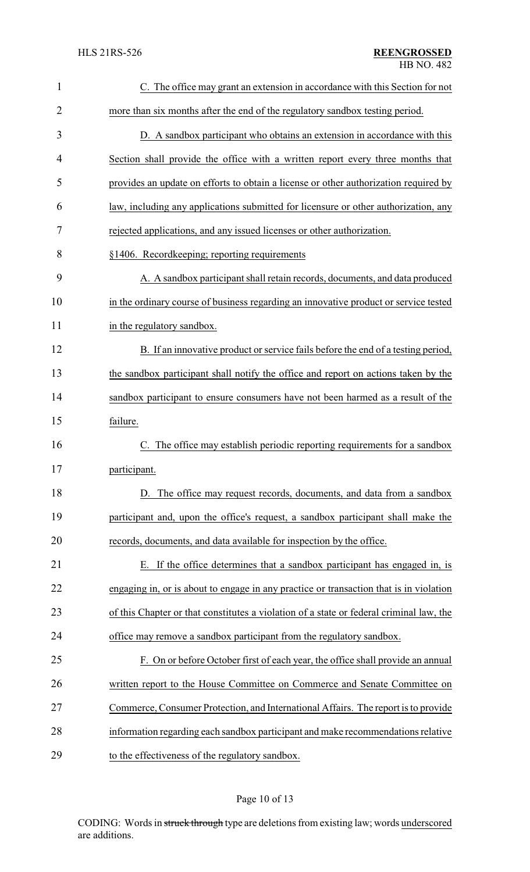| $\mathbf{1}$   | C. The office may grant an extension in accordance with this Section for not            |  |
|----------------|-----------------------------------------------------------------------------------------|--|
| $\overline{2}$ | more than six months after the end of the regulatory sandbox testing period.            |  |
| 3              | D. A sandbox participant who obtains an extension in accordance with this               |  |
| 4              | Section shall provide the office with a written report every three months that          |  |
| 5              | provides an update on efforts to obtain a license or other authorization required by    |  |
| 6              | law, including any applications submitted for licensure or other authorization, any     |  |
| 7              | rejected applications, and any issued licenses or other authorization.                  |  |
| 8              | §1406. Recordkeeping; reporting requirements                                            |  |
| 9              | A. A sandbox participant shall retain records, documents, and data produced             |  |
| 10             | in the ordinary course of business regarding an innovative product or service tested    |  |
| 11             | in the regulatory sandbox.                                                              |  |
| 12             | B. If an innovative product or service fails before the end of a testing period,        |  |
| 13             | the sandbox participant shall notify the office and report on actions taken by the      |  |
| 14             | sandbox participant to ensure consumers have not been harmed as a result of the         |  |
| 15             | failure.                                                                                |  |
| 16             | The office may establish periodic reporting requirements for a sandbox                  |  |
| 17             | participant.                                                                            |  |
| 18             | D. The office may request records, documents, and data from a sandbox                   |  |
| 19             | participant and, upon the office's request, a sandbox participant shall make the        |  |
| 20             | records, documents, and data available for inspection by the office.                    |  |
| 21             | If the office determines that a sandbox participant has engaged in, is                  |  |
| 22             | engaging in, or is about to engage in any practice or transaction that is in violation  |  |
| 23             | of this Chapter or that constitutes a violation of a state or federal criminal law, the |  |
| 24             | office may remove a sandbox participant from the regulatory sandbox.                    |  |
| 25             | F. On or before October first of each year, the office shall provide an annual          |  |
| 26             | written report to the House Committee on Commerce and Senate Committee on               |  |
| 27             | Commerce, Consumer Protection, and International Affairs. The report is to provide      |  |
| 28             | information regarding each sandbox participant and make recommendations relative        |  |
| 29             | to the effectiveness of the regulatory sandbox.                                         |  |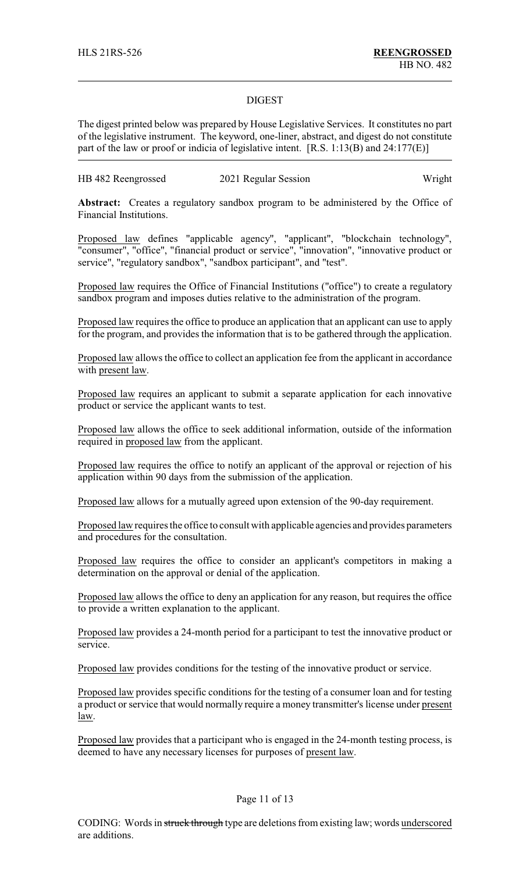#### DIGEST

The digest printed below was prepared by House Legislative Services. It constitutes no part of the legislative instrument. The keyword, one-liner, abstract, and digest do not constitute part of the law or proof or indicia of legislative intent. [R.S. 1:13(B) and 24:177(E)]

| HB 482 Reengrossed | 2021 Regular Session | Wright |
|--------------------|----------------------|--------|
|--------------------|----------------------|--------|

**Abstract:** Creates a regulatory sandbox program to be administered by the Office of Financial Institutions.

Proposed law defines "applicable agency", "applicant", "blockchain technology", "consumer", "office", "financial product or service", "innovation", "innovative product or service", "regulatory sandbox", "sandbox participant", and "test".

Proposed law requires the Office of Financial Institutions ("office") to create a regulatory sandbox program and imposes duties relative to the administration of the program.

Proposed law requires the office to produce an application that an applicant can use to apply for the program, and provides the information that is to be gathered through the application.

Proposed law allows the office to collect an application fee from the applicant in accordance with present law.

Proposed law requires an applicant to submit a separate application for each innovative product or service the applicant wants to test.

Proposed law allows the office to seek additional information, outside of the information required in proposed law from the applicant.

Proposed law requires the office to notify an applicant of the approval or rejection of his application within 90 days from the submission of the application.

Proposed law allows for a mutually agreed upon extension of the 90-day requirement.

Proposed law requires the office to consult with applicable agencies and provides parameters and procedures for the consultation.

Proposed law requires the office to consider an applicant's competitors in making a determination on the approval or denial of the application.

Proposed law allows the office to deny an application for any reason, but requires the office to provide a written explanation to the applicant.

Proposed law provides a 24-month period for a participant to test the innovative product or service.

Proposed law provides conditions for the testing of the innovative product or service.

Proposed law provides specific conditions for the testing of a consumer loan and for testing a product or service that would normally require a money transmitter's license under present law.

Proposed law provides that a participant who is engaged in the 24-month testing process, is deemed to have any necessary licenses for purposes of present law.

### Page 11 of 13

CODING: Words in struck through type are deletions from existing law; words underscored are additions.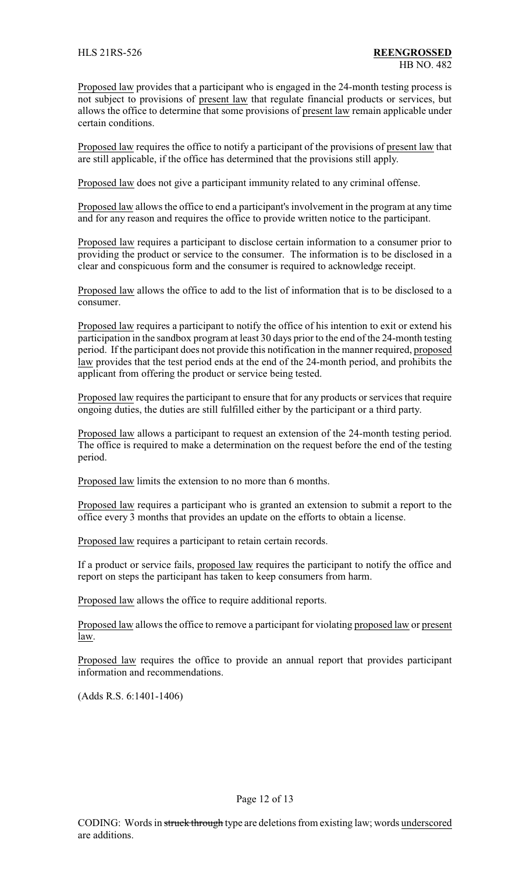Proposed law provides that a participant who is engaged in the 24-month testing process is not subject to provisions of present law that regulate financial products or services, but allows the office to determine that some provisions of present law remain applicable under certain conditions.

Proposed law requires the office to notify a participant of the provisions of present law that are still applicable, if the office has determined that the provisions still apply.

Proposed law does not give a participant immunity related to any criminal offense.

Proposed law allows the office to end a participant's involvement in the program at any time and for any reason and requires the office to provide written notice to the participant.

Proposed law requires a participant to disclose certain information to a consumer prior to providing the product or service to the consumer. The information is to be disclosed in a clear and conspicuous form and the consumer is required to acknowledge receipt.

Proposed law allows the office to add to the list of information that is to be disclosed to a consumer.

Proposed law requires a participant to notify the office of his intention to exit or extend his participation in the sandbox program at least 30 days prior to the end of the 24-month testing period. If the participant does not provide this notification in the manner required, proposed law provides that the test period ends at the end of the 24-month period, and prohibits the applicant from offering the product or service being tested.

Proposed law requires the participant to ensure that for any products or services that require ongoing duties, the duties are still fulfilled either by the participant or a third party.

Proposed law allows a participant to request an extension of the 24-month testing period. The office is required to make a determination on the request before the end of the testing period.

Proposed law limits the extension to no more than 6 months.

Proposed law requires a participant who is granted an extension to submit a report to the office every 3 months that provides an update on the efforts to obtain a license.

Proposed law requires a participant to retain certain records.

If a product or service fails, proposed law requires the participant to notify the office and report on steps the participant has taken to keep consumers from harm.

Proposed law allows the office to require additional reports.

Proposed law allows the office to remove a participant for violating proposed law or present law.

Proposed law requires the office to provide an annual report that provides participant information and recommendations.

(Adds R.S. 6:1401-1406)